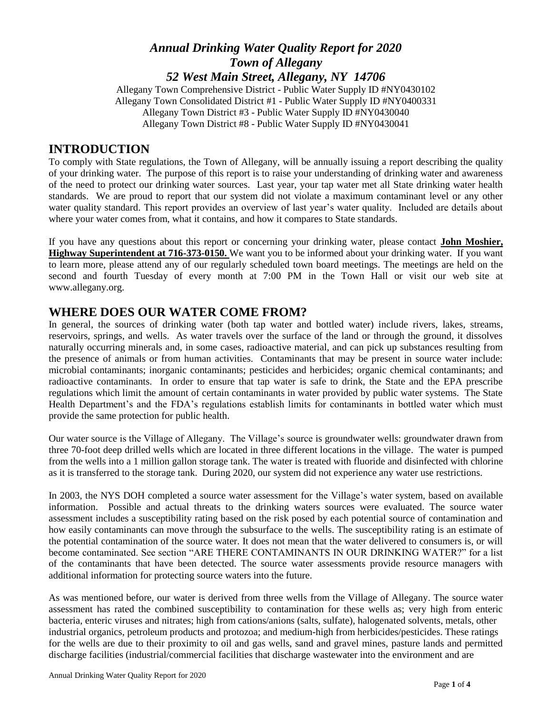#### *Annual Drinking Water Quality Report for 2020 Town of Allegany 52 West Main Street, Allegany, NY 14706*

Allegany Town Comprehensive District - Public Water Supply ID #NY0430102 Allegany Town Consolidated District #1 - Public Water Supply ID #NY0400331 Allegany Town District #3 - Public Water Supply ID #NY0430040 Allegany Town District #8 - Public Water Supply ID #NY0430041

#### **INTRODUCTION**

To comply with State regulations, the Town of Allegany, will be annually issuing a report describing the quality of your drinking water. The purpose of this report is to raise your understanding of drinking water and awareness of the need to protect our drinking water sources. Last year, your tap water met all State drinking water health standards. We are proud to report that our system did not violate a maximum contaminant level or any other water quality standard. This report provides an overview of last year's water quality. Included are details about where your water comes from, what it contains, and how it compares to State standards.

If you have any questions about this report or concerning your drinking water, please contact **John Moshier, Highway Superintendent at 716-373-0150.** We want you to be informed about your drinking water. If you want to learn more, please attend any of our regularly scheduled town board meetings. The meetings are held on the second and fourth Tuesday of every month at 7:00 PM in the Town Hall or visit our web site at www.allegany.org.

#### **WHERE DOES OUR WATER COME FROM?**

In general, the sources of drinking water (both tap water and bottled water) include rivers, lakes, streams, reservoirs, springs, and wells. As water travels over the surface of the land or through the ground, it dissolves naturally occurring minerals and, in some cases, radioactive material, and can pick up substances resulting from the presence of animals or from human activities. Contaminants that may be present in source water include: microbial contaminants; inorganic contaminants; pesticides and herbicides; organic chemical contaminants; and radioactive contaminants. In order to ensure that tap water is safe to drink, the State and the EPA prescribe regulations which limit the amount of certain contaminants in water provided by public water systems. The State Health Department's and the FDA's regulations establish limits for contaminants in bottled water which must provide the same protection for public health.

Our water source is the Village of Allegany. The Village's source is groundwater wells: groundwater drawn from three 70-foot deep drilled wells which are located in three different locations in the village. The water is pumped from the wells into a 1 million gallon storage tank. The water is treated with fluoride and disinfected with chlorine as it is transferred to the storage tank. During 2020, our system did not experience any water use restrictions.

In 2003, the NYS DOH completed a source water assessment for the Village's water system, based on available information. Possible and actual threats to the drinking waters sources were evaluated. The source water assessment includes a susceptibility rating based on the risk posed by each potential source of contamination and how easily contaminants can move through the subsurface to the wells. The susceptibility rating is an estimate of the potential contamination of the source water. It does not mean that the water delivered to consumers is, or will become contaminated. See section "ARE THERE CONTAMINANTS IN OUR DRINKING WATER?" for a list of the contaminants that have been detected. The source water assessments provide resource managers with additional information for protecting source waters into the future.

As was mentioned before, our water is derived from three wells from the Village of Allegany. The source water assessment has rated the combined susceptibility to contamination for these wells as; very high from enteric bacteria, enteric viruses and nitrates; high from cations/anions (salts, sulfate), halogenated solvents, metals, other industrial organics, petroleum products and protozoa; and medium-high from herbicides/pesticides. These ratings for the wells are due to their proximity to oil and gas wells, sand and gravel mines, pasture lands and permitted discharge facilities (industrial/commercial facilities that discharge wastewater into the environment and are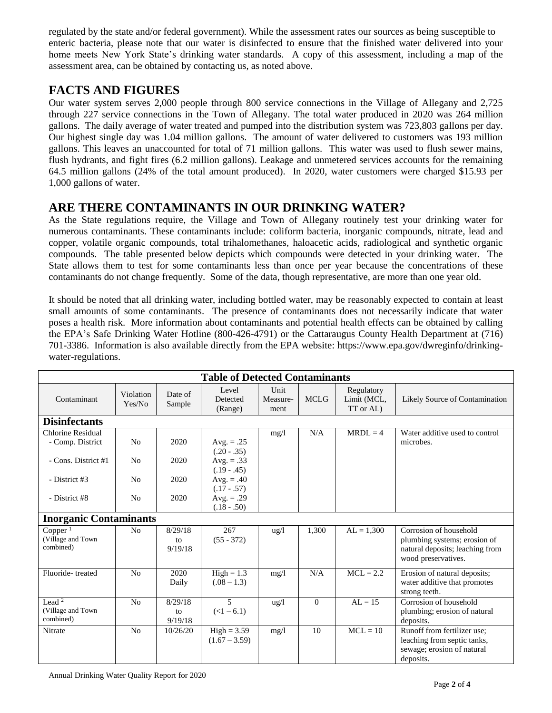regulated by the state and/or federal government). While the assessment rates our sources as being susceptible to enteric bacteria, please note that our water is disinfected to ensure that the finished water delivered into your home meets New York State's drinking water standards. A copy of this assessment, including a map of the assessment area, can be obtained by contacting us, as noted above.

## **FACTS AND FIGURES**

Our water system serves 2,000 people through 800 service connections in the Village of Allegany and 2,725 through 227 service connections in the Town of Allegany. The total water produced in 2020 was 264 million gallons. The daily average of water treated and pumped into the distribution system was 723,803 gallons per day. Our highest single day was 1.04 million gallons. The amount of water delivered to customers was 193 million gallons. This leaves an unaccounted for total of 71 million gallons. This water was used to flush sewer mains, flush hydrants, and fight fires (6.2 million gallons). Leakage and unmetered services accounts for the remaining 64.5 million gallons (24% of the total amount produced). In 2020, water customers were charged \$15.93 per 1,000 gallons of water.

## **ARE THERE CONTAMINANTS IN OUR DRINKING WATER?**

As the State regulations require, the Village and Town of Allegany routinely test your drinking water for numerous contaminants. These contaminants include: coliform bacteria, inorganic compounds, nitrate, lead and copper, volatile organic compounds, total trihalomethanes, haloacetic acids, radiological and synthetic organic compounds. The table presented below depicts which compounds were detected in your drinking water. The State allows them to test for some contaminants less than once per year because the concentrations of these contaminants do not change frequently. Some of the data, though representative, are more than one year old.

It should be noted that all drinking water, including bottled water, may be reasonably expected to contain at least small amounts of some contaminants. The presence of contaminants does not necessarily indicate that water poses a health risk. More information about contaminants and potential health effects can be obtained by calling the EPA's Safe Drinking Water Hotline (800-426-4791) or the Cattaraugus County Health Department at (716) 701-3386. Information is also available directly from the EPA website: [https://www.epa.gov/dwreginfo/drinking](https://www.epa.gov/dwreginfo/drinking-water-regulations)[water-regulations.](https://www.epa.gov/dwreginfo/drinking-water-regulations)

| <b>Table of Detected Contaminants</b>           |                     |                          |                                               |                          |             |                                        |                                                                                                                  |  |  |  |  |  |
|-------------------------------------------------|---------------------|--------------------------|-----------------------------------------------|--------------------------|-------------|----------------------------------------|------------------------------------------------------------------------------------------------------------------|--|--|--|--|--|
| Contaminant                                     | Violation<br>Yes/No | Date of<br>Sample        | Level<br>Detected<br>(Range)                  | Unit<br>Measure-<br>ment | <b>MCLG</b> | Regulatory<br>Limit (MCL,<br>TT or AL) | Likely Source of Contamination                                                                                   |  |  |  |  |  |
| <b>Disinfectants</b>                            |                     |                          |                                               |                          |             |                                        |                                                                                                                  |  |  |  |  |  |
| Chlorine Residual<br>- Comp. District           | N <sub>o</sub>      | 2020                     | Avg. $=.25$                                   | mg/1                     | N/A         | $MRDL = 4$                             | Water additive used to control<br>microbes.                                                                      |  |  |  |  |  |
| - Cons. District #1                             | N <sub>0</sub>      | 2020                     | $(.20 - .35)$<br>Avg. $=.33$<br>$(.19 - .45)$ |                          |             |                                        |                                                                                                                  |  |  |  |  |  |
| - District #3                                   | No                  | 2020                     | Avg. $= .40$<br>$(.17-.57)$                   |                          |             |                                        |                                                                                                                  |  |  |  |  |  |
| - District #8                                   | No                  | 2020                     | Avg. $= .29$<br>$(.18-.50)$                   |                          |             |                                        |                                                                                                                  |  |  |  |  |  |
| <b>Inorganic Contaminants</b>                   |                     |                          |                                               |                          |             |                                        |                                                                                                                  |  |  |  |  |  |
| $Copper^{-1}$<br>(Village and Town<br>combined) | N <sub>0</sub>      | 8/29/18<br>to<br>9/19/18 | 267<br>$(55 - 372)$                           | $\frac{u g}{l}$          | 1,300       | $AL = 1,300$                           | Corrosion of household<br>plumbing systems; erosion of<br>natural deposits; leaching from<br>wood preservatives. |  |  |  |  |  |
| Fluoride-treated                                | No                  | 2020<br>Daily            | $High = 1.3$<br>$(.08 - 1.3)$                 | mg/1                     | N/A         | $MCL = 2.2$                            | Erosion of natural deposits;<br>water additive that promotes<br>strong teeth.                                    |  |  |  |  |  |
| Lead $2$<br>(Village and Town<br>combined)      | N <sub>o</sub>      | 8/29/18<br>to<br>9/19/18 | $\overline{5}$<br>$(<1 - 6.1)$                | $\frac{1}{2}$            | $\Omega$    | $AL = 15$                              | Corrosion of household<br>plumbing; erosion of natural<br>deposits.                                              |  |  |  |  |  |
| Nitrate                                         | N <sub>o</sub>      | 10/26/20                 | $High = 3.59$<br>$(1.67 - 3.59)$              | mg/l                     | 10          | $MCL = 10$                             | Runoff from fertilizer use;<br>leaching from septic tanks,<br>sewage; erosion of natural<br>deposits.            |  |  |  |  |  |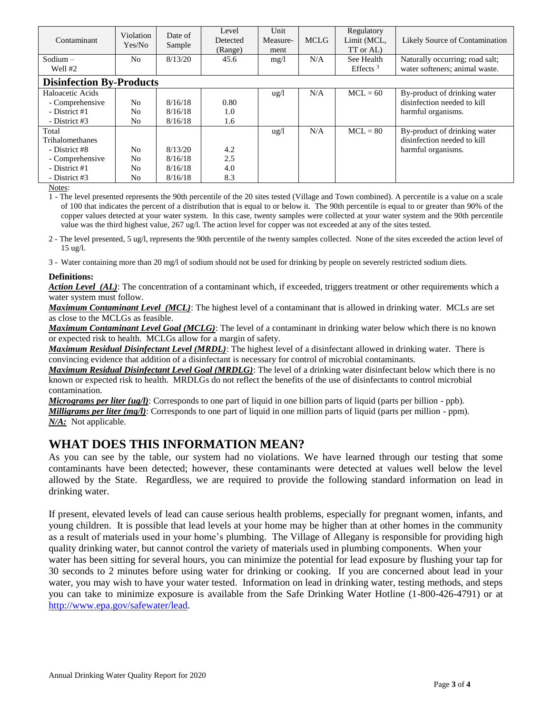| Contaminant                     | Violation<br>Yes/No | Date of<br>Sample | Level<br>Detected<br>(Range) | Unit<br>Measure-<br>ment | <b>MCLG</b> | Regulatory<br>Limit (MCL,<br>TT or AL) | Likely Source of Contamination  |  |  |  |
|---------------------------------|---------------------|-------------------|------------------------------|--------------------------|-------------|----------------------------------------|---------------------------------|--|--|--|
| $Sodium -$                      | No                  | 8/13/20           | 45.6                         | mg/l                     | N/A         | See Health                             | Naturally occurring; road salt; |  |  |  |
| Well #2                         |                     |                   |                              |                          |             | Effects $3$                            | water softeners; animal waste.  |  |  |  |
| <b>Disinfection By-Products</b> |                     |                   |                              |                          |             |                                        |                                 |  |  |  |
| Haloacetic Acids                |                     |                   |                              | $u\,g/l$                 | N/A         | $MCL = 60$                             | By-product of drinking water    |  |  |  |
| - Comprehensive                 | N <sub>o</sub>      | 8/16/18           | 0.80                         |                          |             |                                        | disinfection needed to kill     |  |  |  |
| - District #1                   | N <sub>0</sub>      | 8/16/18           | 1.0                          |                          |             |                                        | harmful organisms.              |  |  |  |
| - District #3                   | No                  | 8/16/18           | 1.6                          |                          |             |                                        |                                 |  |  |  |
| Total                           |                     |                   |                              | $\frac{u g}{l}$          | N/A         | $MCL = 80$                             | By-product of drinking water    |  |  |  |
| Trihalomethanes                 |                     |                   |                              |                          |             |                                        | disinfection needed to kill     |  |  |  |
| - District #8                   | N <sub>o</sub>      | 8/13/20           | 4.2                          |                          |             |                                        | harmful organisms.              |  |  |  |
| - Comprehensive                 | N <sub>0</sub>      | 8/16/18           | 2.5                          |                          |             |                                        |                                 |  |  |  |
| - District #1                   | N <sub>0</sub>      | 8/16/18           | 4.0                          |                          |             |                                        |                                 |  |  |  |
| - District #3                   | No                  | 8/16/18           | 8.3                          |                          |             |                                        |                                 |  |  |  |

Notes:

1 - The level presented represents the 90th percentile of the 20 sites tested (Village and Town combined). A percentile is a value on a scale of 100 that indicates the percent of a distribution that is equal to or below it. The 90th percentile is equal to or greater than 90% of the copper values detected at your water system. In this case, twenty samples were collected at your water system and the 90th percentile value was the third highest value, 267 ug/l. The action level for copper was not exceeded at any of the sites tested.

2 - The level presented, 5 ug/l, represents the 90th percentile of the twenty samples collected. None of the sites exceeded the action level of 15 ug/l.

3 - Water containing more than 20 mg/l of sodium should not be used for drinking by people on severely restricted sodium diets.

#### **Definitions:**

*Action Level (AL)*: The concentration of a contaminant which, if exceeded, triggers treatment or other requirements which a water system must follow.

*Maximum Contaminant Level (MCL)*: The highest level of a contaminant that is allowed in drinking water. MCLs are set as close to the MCLGs as feasible.

*Maximum Contaminant Level Goal (MCLG)*: The level of a contaminant in drinking water below which there is no known or expected risk to health. MCLGs allow for a margin of safety.

*Maximum Residual Disinfectant Level (MRDL)*: The highest level of a disinfectant allowed in drinking water. There is convincing evidence that addition of a disinfectant is necessary for control of microbial contaminants.

*Maximum Residual Disinfectant Level Goal (MRDLG)*: The level of a drinking water disinfectant below which there is no known or expected risk to health. MRDLGs do not reflect the benefits of the use of disinfectants to control microbial contamination.

*Micrograms per liter (ug/l)*: Corresponds to one part of liquid in one billion parts of liquid (parts per billion - ppb). *Milligrams per liter (mg/l)*: Corresponds to one part of liquid in one million parts of liquid (parts per million - ppm). *N/A:* Not applicable.

## **WHAT DOES THIS INFORMATION MEAN?**

As you can see by the table, our system had no violations. We have learned through our testing that some contaminants have been detected; however, these contaminants were detected at values well below the level allowed by the State. Regardless, we are required to provide the following standard information on lead in drinking water.

If present, elevated levels of lead can cause serious health problems, especially for pregnant women, infants, and young children. It is possible that lead levels at your home may be higher than at other homes in the community as a result of materials used in your home's plumbing. The Village of Allegany is responsible for providing high quality drinking water, but cannot control the variety of materials used in plumbing components. When your

water has been sitting for several hours, you can minimize the potential for lead exposure by flushing your tap for 30 seconds to 2 minutes before using water for drinking or cooking. If you are concerned about lead in your water, you may wish to have your water tested. Information on lead in drinking water, testing methods, and steps you can take to minimize exposure is available from the Safe Drinking Water Hotline (1-800-426-4791) or at [http://www.epa.gov/safewater/lead.](http://www.epa.gov/safewater/lead)